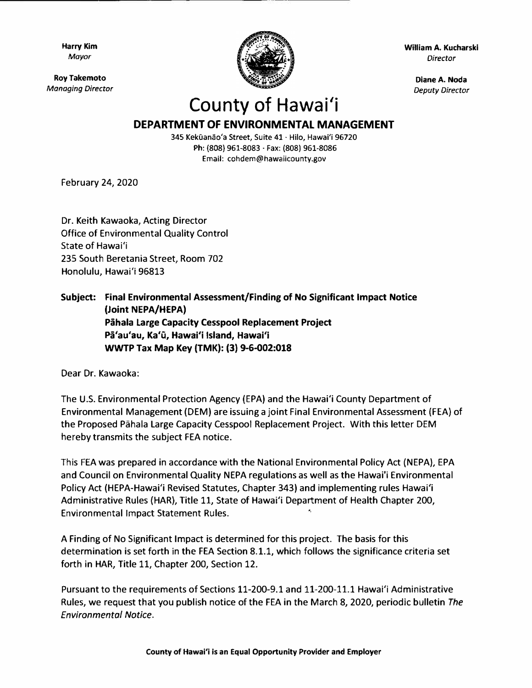**Harry Kim**  *Mayor* 

**Roy Takemoto**  *Managing Director* 



**William A. Kucharski**  *Director* 

> **Diane A. Noda**  *Deputy Director*

## **County of Hawai'i**

## **DEPARTMENT OF ENVIRONMENTAL MANAGEMENT**

**345 Kekuanao'a Street, Suite 41 · Hilo, Hawai'i 96720 Ph: (808) 961-8083 · Fax: (808) 961-8086 Email: cohdem@hawaiicounty.gov** 

February 24, 2020

Dr. Keith Kawaoka, Acting Director Office of Environmental Quality Control State of Hawai'i 235 South Beretania Street, Room 702 Honolulu, Hawai'i 96813

## **Subject: Final Environmental Assessment/Finding of No Significant Impact Notice (Joint NEPA/HEPA) Pahala Large Capacity Cesspool Replacement Project Pa'au'au, Ka'u, Hawai'i Island, Hawai'i WWTP Tax Map Key (TMK): (3) 9-6-002:018**

Dear Dr. Kawaoka:

The U.S. Environmental Protection Agency (EPA) and the Hawai'i County Department of Environmental Management (DEM) are issuing a joint Final Environmental Assessment (FEA) of the Proposed Pahala Large Capacity Cesspool Replacement Project. With this letter DEM hereby transmits the subject FEA notice.

This FEA was prepared in accordance with the National Environmental Policy Act (NEPA), EPA and Council on Environmental Quality NEPA regulations as well as the Hawai'i Environmental Policy Act (HEPA-Hawai'i Revised Statutes, Chapter 343) and implementing rules Hawai'i Administrative Rules (HAR), Title 11, State of Hawai'i Department of Health Chapter 200, Environmental Impact Statement Rules.

A Finding of No Significant Impact is determined for this project. The basis for this determination is set forth in the FEA Section 8.1.1, which follows the significance criteria set forth in HAR, Title 11, Chapter 200, Section 12.

Pursuant to the requirements of Sections 11-200-9.1 and 11-200-11.1 Hawai'i Administrative Rules, we request that you publish notice of the FEA in the March 8, 2020, periodic bulletin *The Environmental Notice.*